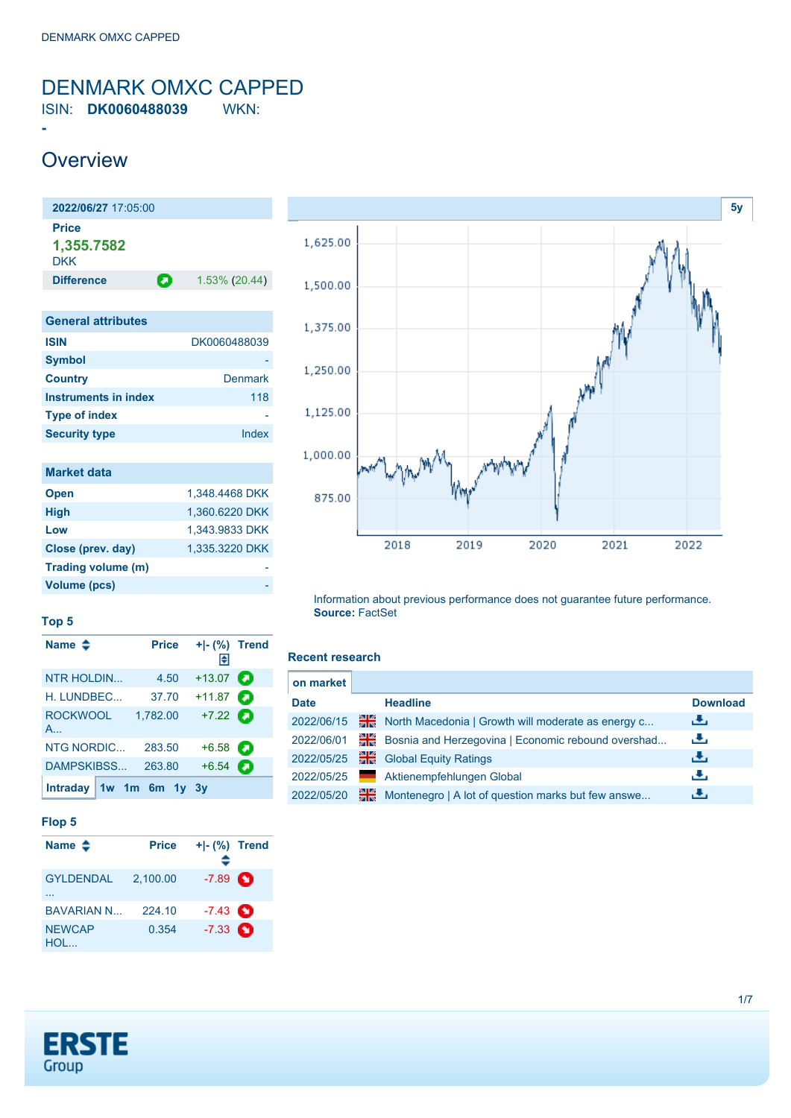<span id="page-0-0"></span>ISIN: **DK0060488039** WKN:

### **Overview**

**-**

| 2022/06/27 17:05:00               |   |               |
|-----------------------------------|---|---------------|
| Price<br>1,355.7582<br><b>DKK</b> |   |               |
| <b>Difference</b>                 | О | 1.53% (20.44) |
|                                   |   |               |
| <b>General attributes</b>         |   |               |
| <b>ISIN</b>                       |   | DK0060488039  |
| <b>Symbol</b>                     |   |               |
| <b>Country</b>                    |   | Denmark       |
|                                   |   |               |

| <b>Country</b>       | <b>Denmark</b> |
|----------------------|----------------|
| Instruments in index | 118            |
| <b>Type of index</b> |                |
| <b>Security type</b> | Index          |

| <b>Market data</b> |                |
|--------------------|----------------|
| <b>Open</b>        | 1,348.4468 DKK |
| <b>High</b>        | 1,360.6220 DKK |
| Low                | 1,343.9833 DKK |
| Close (prev. day)  | 1,335.3220 DKK |
| Trading volume (m) |                |
| Volume (pcs)       |                |



#### **Top 5**

| Name $\triangleq$        | <b>Price</b>           | $+I-(\%)$ Trend<br>Π€ |   |
|--------------------------|------------------------|-----------------------|---|
| <b>NTR HOLDIN</b>        | 4.50                   | $+13.07$              | О |
| H. LUNDBEC               | 37.70                  | $+11.87$              | а |
| ROCKWOOL<br>$A_{\cdots}$ | 1,782.00               | $+7.22$               |   |
| <b>NTG NORDIC</b>        | 283.50                 | $+6.58$               | O |
| DAMPSKIBSS               | 263.80                 | $+6.54$               | П |
|                          | Intraday $1w$ 1m 6m 1y | <b>3</b> V            |   |

#### **Flop 5**

| Name $\triangle$      | <b>Price</b> | $+I$ - $(\%)$ Trend |  |
|-----------------------|--------------|---------------------|--|
| <b>GYLDENDAL</b>      | 2.100.00     | $-7.89$ $\bullet$   |  |
| <b>BAVARIAN N</b>     | 224.10       | $-7.43$ $\bullet$   |  |
| <b>NEWCAP</b><br>HOL. | 0.354        | $-7.33$ $\bullet$   |  |

#### Information about previous performance does not guarantee future performance. **Source:** FactSet

#### **Recent research**

| on market   |    |                                                    |                 |
|-------------|----|----------------------------------------------------|-----------------|
| <b>Date</b> |    | <b>Headline</b>                                    | <b>Download</b> |
| 2022/06/15  | 픪쯩 | North Macedonia   Growth will moderate as energy c | رنان            |
| 2022/06/01  | ≫⊯ | Bosnia and Herzegovina   Economic rebound overshad | رنان            |
| 2022/05/25  | 꾊쯗 | <b>Global Equity Ratings</b>                       | رنان            |
| 2022/05/25  |    | Aktienempfehlungen Global                          | رنان            |
| 2022/05/20  | 꾉쯗 | Montenegro   A lot of question marks but few answe | رنان            |

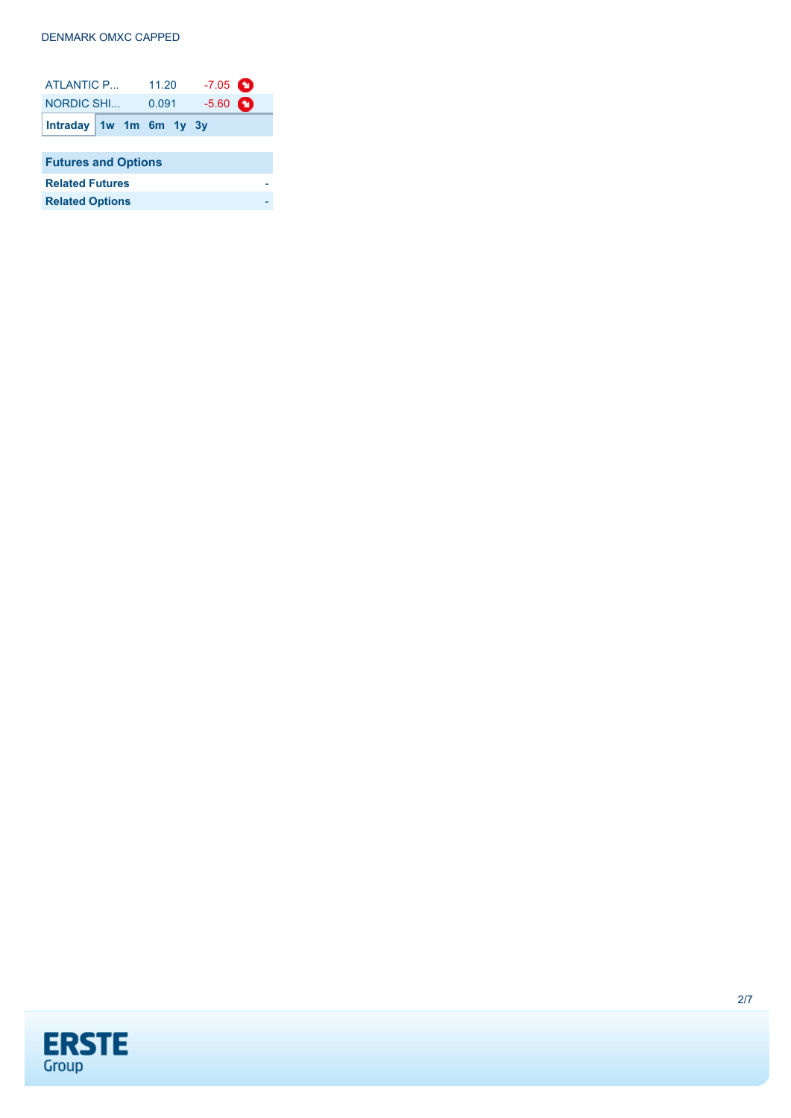| ATLANTIC P                 |                         | 11.20 |  | $-7.05$ $\bullet$ |   |  |
|----------------------------|-------------------------|-------|--|-------------------|---|--|
| NORDIC SHI                 |                         | 0.091 |  | $-5.60$           | O |  |
|                            | Intraday 1w 1m 6m 1y 3y |       |  |                   |   |  |
|                            |                         |       |  |                   |   |  |
| <b>Futures and Options</b> |                         |       |  |                   |   |  |
| <b>Related Futures</b>     |                         |       |  |                   |   |  |
| <b>Related Options</b>     |                         |       |  |                   |   |  |

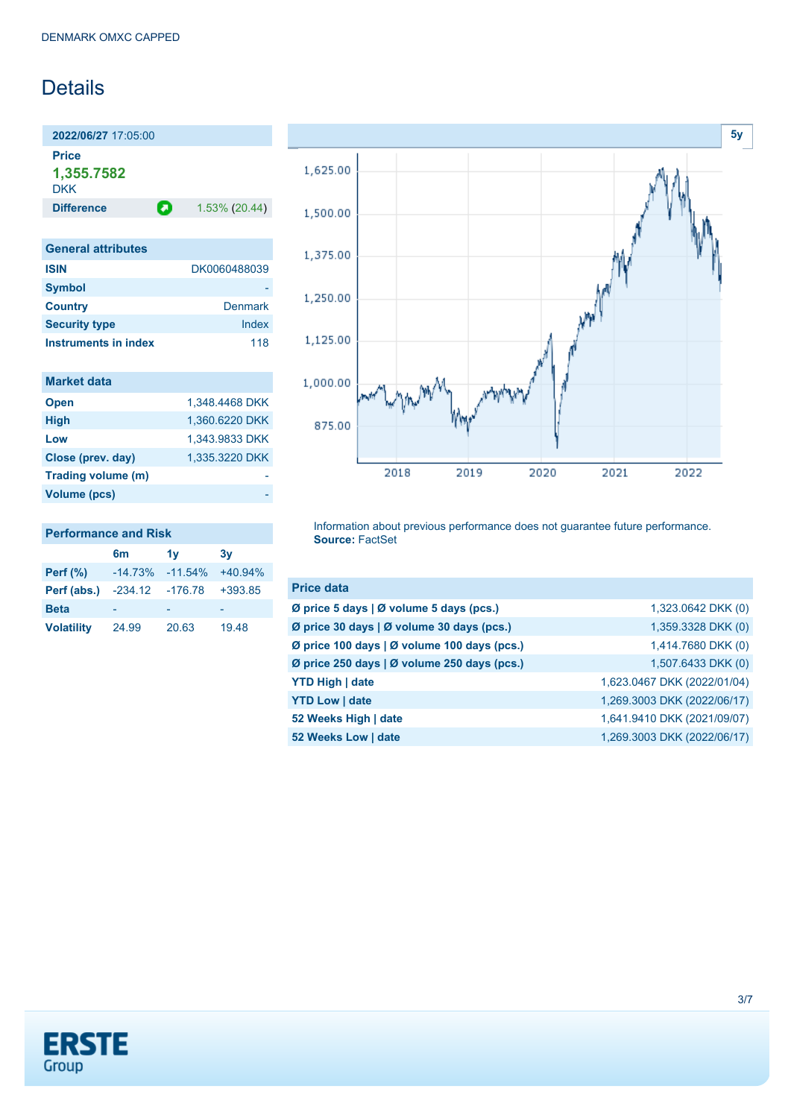### Details

**2022/06/27** 17:05:00 **Price 1,355.7582** DKK

**Difference 1.53% (20.44)** 

| <b>General attributes</b> |                |
|---------------------------|----------------|
| <b>ISIN</b>               | DK0060488039   |
| <b>Symbol</b>             |                |
| <b>Country</b>            | <b>Denmark</b> |
| <b>Security type</b>      | Index          |
| Instruments in index      | 118            |

| <b>Market data</b> |                |
|--------------------|----------------|
| <b>Open</b>        | 1.348.4468 DKK |
| <b>High</b>        | 1,360.6220 DKK |
| Low                | 1,343.9833 DKK |
| Close (prev. day)  | 1,335.3220 DKK |
| Trading volume (m) |                |
| Volume (pcs)       |                |



Information about previous performance does not guarantee future performance. **Source:** FactSet

| <b>Price data</b>                           |                             |
|---------------------------------------------|-----------------------------|
| Ø price 5 days   Ø volume 5 days (pcs.)     | 1,323.0642 DKK (0)          |
| Ø price 30 days   Ø volume 30 days (pcs.)   | 1,359.3328 DKK (0)          |
| Ø price 100 days   Ø volume 100 days (pcs.) | 1,414.7680 DKK (0)          |
| Ø price 250 days   Ø volume 250 days (pcs.) | 1,507.6433 DKK (0)          |
| <b>YTD High   date</b>                      | 1,623.0467 DKK (2022/01/04) |
| <b>YTD Low   date</b>                       | 1,269.3003 DKK (2022/06/17) |
| 52 Weeks High   date                        | 1,641.9410 DKK (2021/09/07) |
| 52 Weeks Low   date                         | 1,269.3003 DKK (2022/06/17) |
|                                             |                             |



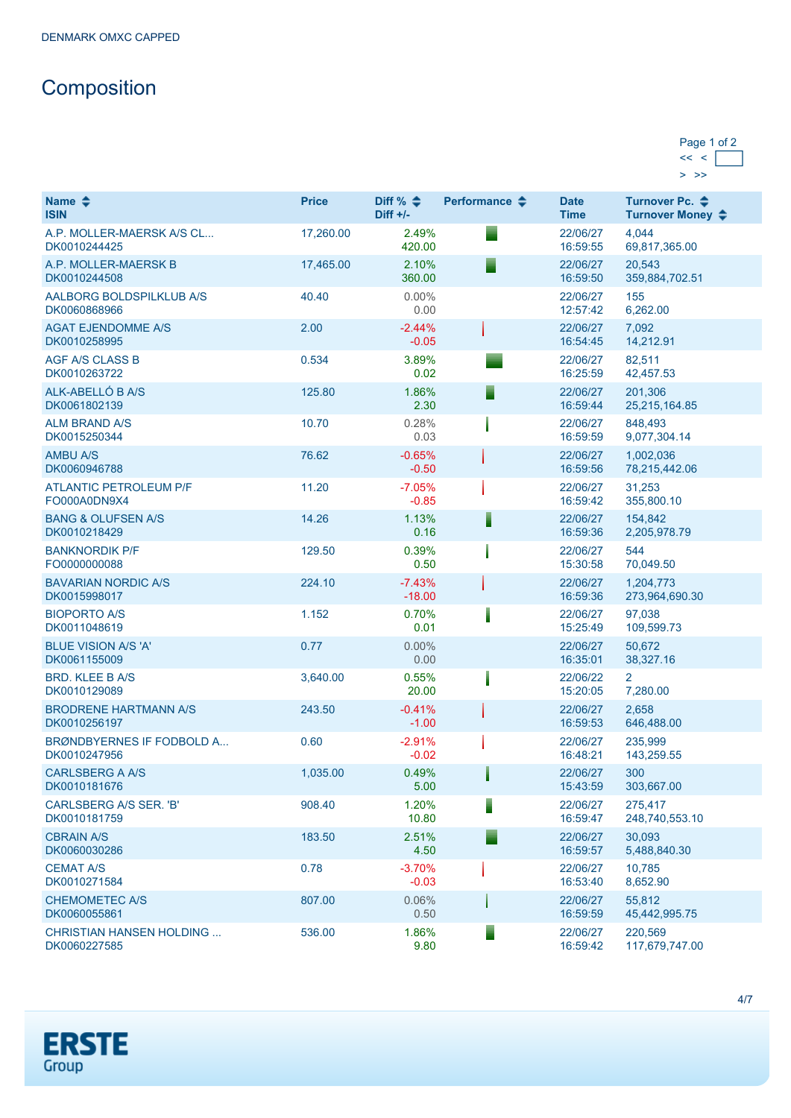## **Composition**

| Page 1 of 2 |  |
|-------------|--|
|             |  |
|             |  |

| Name $\clubsuit$<br><b>ISIN</b>                  | <b>Price</b> | Diff % $\triangle$<br>$Diff +/-$ | Performance $\clubsuit$ | <b>Date</b><br><b>Time</b> | Turnover Pc. ♦<br>Turnover Money ♦ |
|--------------------------------------------------|--------------|----------------------------------|-------------------------|----------------------------|------------------------------------|
| A.P. MOLLER-MAERSK A/S CL<br>DK0010244425        | 17,260.00    | 2.49%<br>420.00                  |                         | 22/06/27<br>16:59:55       | 4,044<br>69,817,365.00             |
| A.P. MOLLER-MAERSK B<br>DK0010244508             | 17.465.00    | 2.10%<br>360.00                  | Ξ                       | 22/06/27<br>16:59:50       | 20.543<br>359,884,702.51           |
| AALBORG BOLDSPILKLUB A/S<br>DK0060868966         | 40.40        | $0.00\%$<br>0.00                 |                         | 22/06/27<br>12:57:42       | 155<br>6,262.00                    |
| <b>AGAT EJENDOMME A/S</b><br>DK0010258995        | 2.00         | $-2.44%$<br>$-0.05$              |                         | 22/06/27<br>16:54:45       | 7,092<br>14,212.91                 |
| <b>AGF A/S CLASS B</b><br>DK0010263722           | 0.534        | 3.89%<br>0.02                    |                         | 22/06/27<br>16:25:59       | 82,511<br>42,457.53                |
| ALK-ABELLÓ B A/S<br>DK0061802139                 | 125.80       | 1.86%<br>2.30                    | ⋾                       | 22/06/27<br>16:59:44       | 201,306<br>25,215,164.85           |
| <b>ALM BRAND A/S</b><br>DK0015250344             | 10.70        | 0.28%<br>0.03                    |                         | 22/06/27<br>16:59:59       | 848,493<br>9,077,304.14            |
| <b>AMBU A/S</b><br>DK0060946788                  | 76.62        | $-0.65%$<br>$-0.50$              |                         | 22/06/27<br>16:59:56       | 1,002,036<br>78,215,442.06         |
| <b>ATLANTIC PETROLEUM P/F</b><br>FO000A0DN9X4    | 11.20        | $-7.05%$<br>$-0.85$              |                         | 22/06/27<br>16:59:42       | 31.253<br>355,800.10               |
| <b>BANG &amp; OLUFSEN A/S</b><br>DK0010218429    | 14.26        | 1.13%<br>0.16                    | ▋                       | 22/06/27<br>16:59:36       | 154.842<br>2,205,978.79            |
| <b>BANKNORDIK P/F</b><br>FO0000000088            | 129.50       | 0.39%<br>0.50                    |                         | 22/06/27<br>15:30:58       | 544<br>70,049.50                   |
| <b>BAVARIAN NORDIC A/S</b><br>DK0015998017       | 224.10       | $-7.43%$<br>$-18.00$             |                         | 22/06/27<br>16:59:36       | 1,204,773<br>273,964,690.30        |
| <b>BIOPORTO A/S</b><br>DK0011048619              | 1.152        | 0.70%<br>0.01                    |                         | 22/06/27<br>15:25:49       | 97,038<br>109,599.73               |
| <b>BLUE VISION A/S 'A'</b><br>DK0061155009       | 0.77         | 0.00%<br>0.00                    |                         | 22/06/27<br>16:35:01       | 50,672<br>38,327.16                |
| <b>BRD. KLEE B A/S</b><br>DK0010129089           | 3,640.00     | 0.55%<br>20.00                   |                         | 22/06/22<br>15:20:05       | 2<br>7,280.00                      |
| <b>BRODRENE HARTMANN A/S</b><br>DK0010256197     | 243.50       | $-0.41%$<br>$-1.00$              |                         | 22/06/27<br>16:59:53       | 2,658<br>646,488.00                |
| BRØNDBYERNES IF FODBOLD A<br>DK0010247956        | 0.60         | $-2.91%$<br>$-0.02$              |                         | 22/06/27<br>16:48:21       | 235,999<br>143,259.55              |
| <b>CARLSBERG A A/S</b><br>DK0010181676           | 1,035.00     | 0.49%<br>5.00                    |                         | 22/06/27<br>15:43:59       | 300<br>303,667.00                  |
| CARLSBERG A/S SER. 'B'<br>DK0010181759           | 908.40       | 1.20%<br>10.80                   | Ī                       | 22/06/27<br>16:59:47       | 275,417<br>248,740,553.10          |
| <b>CBRAIN A/S</b><br>DK0060030286                | 183.50       | 2.51%<br>4.50                    |                         | 22/06/27<br>16:59:57       | 30.093<br>5,488,840.30             |
| <b>CEMAT A/S</b><br>DK0010271584                 | 0.78         | $-3.70%$<br>$-0.03$              |                         | 22/06/27<br>16:53:40       | 10,785<br>8,652.90                 |
| <b>CHEMOMETEC A/S</b><br>DK0060055861            | 807.00       | 0.06%<br>0.50                    |                         | 22/06/27<br>16:59:59       | 55,812<br>45,442,995.75            |
| <b>CHRISTIAN HANSEN HOLDING </b><br>DK0060227585 | 536.00       | 1.86%<br>9.80                    | Ξ                       | 22/06/27<br>16:59:42       | 220,569<br>117,679,747.00          |

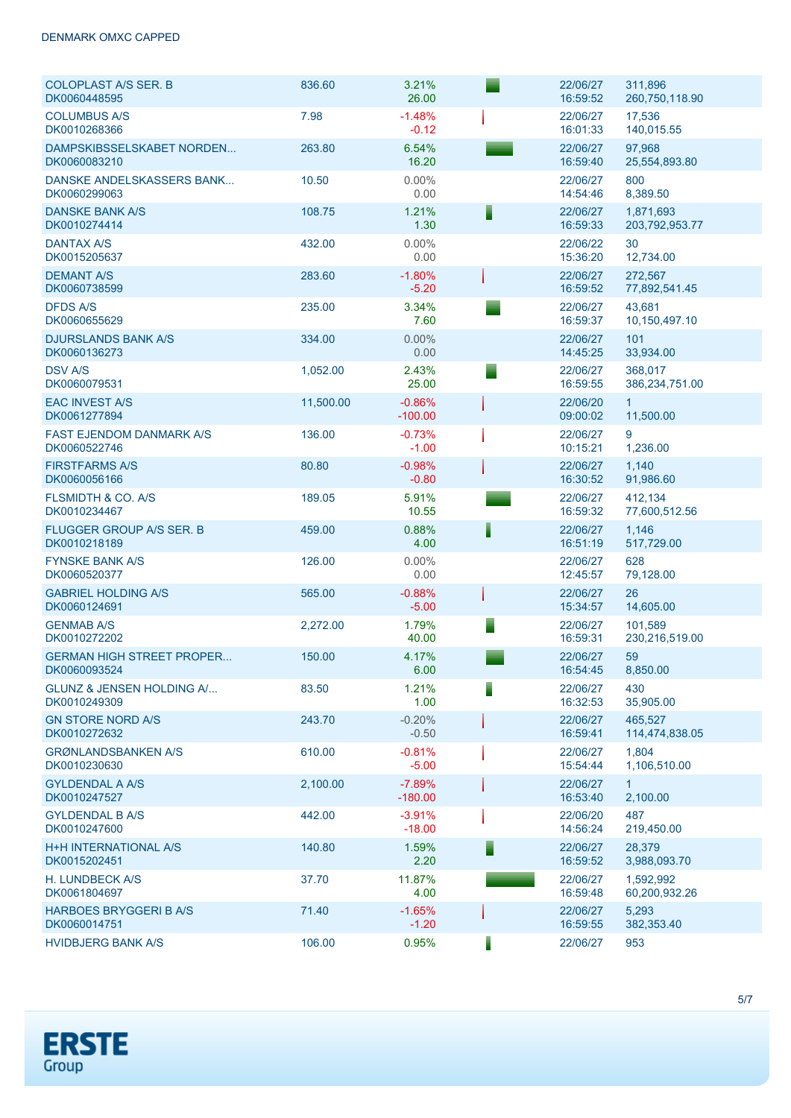| <b>COLOPLAST A/S SER. B</b><br>DK0060448595      | 836.60    | 3.21%<br>26.00        |   | 22/06/27<br>16:59:52 | 311,896<br>260,750,118.90   |
|--------------------------------------------------|-----------|-----------------------|---|----------------------|-----------------------------|
| <b>COLUMBUS A/S</b><br>DK0010268366              | 7.98      | $-1.48%$<br>$-0.12$   |   | 22/06/27<br>16:01:33 | 17,536<br>140,015.55        |
| DAMPSKIBSSELSKABET NORDEN<br>DK0060083210        | 263.80    | 6.54%<br>16.20        |   | 22/06/27<br>16:59:40 | 97,968<br>25,554,893.80     |
| DANSKE ANDELSKASSERS BANK<br>DK0060299063        | 10.50     | $0.00\%$<br>0.00      |   | 22/06/27<br>14:54:46 | 800<br>8,389.50             |
| <b>DANSKE BANK A/S</b><br>DK0010274414           | 108.75    | 1.21%<br>1.30         | F | 22/06/27<br>16:59:33 | 1,871,693<br>203,792,953.77 |
| <b>DANTAX A/S</b><br>DK0015205637                | 432.00    | $0.00\%$<br>0.00      |   | 22/06/22<br>15:36:20 | 30<br>12,734.00             |
| <b>DEMANT A/S</b><br>DK0060738599                | 283.60    | $-1.80%$<br>$-5.20$   |   | 22/06/27<br>16:59:52 | 272,567<br>77,892,541.45    |
| <b>DFDS A/S</b><br>DK0060655629                  | 235.00    | 3.34%<br>7.60         |   | 22/06/27<br>16:59:37 | 43,681<br>10,150,497.10     |
| <b>DJURSLANDS BANK A/S</b><br>DK0060136273       | 334.00    | 0.00%<br>0.00         |   | 22/06/27<br>14:45:25 | 101<br>33,934.00            |
| <b>DSV A/S</b><br>DK0060079531                   | 1,052.00  | 2.43%<br>25.00        | ▀ | 22/06/27<br>16:59:55 | 368,017<br>386,234,751.00   |
| <b>EAC INVEST A/S</b><br>DK0061277894            | 11,500.00 | $-0.86%$<br>$-100.00$ |   | 22/06/20<br>09:00:02 | $\mathbf{1}$<br>11,500.00   |
| <b>FAST EJENDOM DANMARK A/S</b><br>DK0060522746  | 136.00    | $-0.73%$<br>$-1.00$   |   | 22/06/27<br>10:15:21 | 9<br>1,236.00               |
| <b>FIRSTFARMS A/S</b><br>DK0060056166            | 80.80     | $-0.98%$<br>$-0.80$   |   | 22/06/27<br>16:30:52 | 1,140<br>91,986.60          |
| <b>FLSMIDTH &amp; CO. A/S</b><br>DK0010234467    | 189.05    | 5.91%<br>10.55        |   | 22/06/27<br>16:59:32 | 412,134<br>77,600,512.56    |
| <b>FLUGGER GROUP A/S SER. B</b><br>DK0010218189  | 459.00    | 0.88%<br>4.00         |   | 22/06/27<br>16:51:19 | 1,146<br>517,729.00         |
| <b>FYNSKE BANK A/S</b><br>DK0060520377           | 126.00    | $0.00\%$<br>0.00      |   | 22/06/27<br>12:45:57 | 628<br>79,128.00            |
| <b>GABRIEL HOLDING A/S</b><br>DK0060124691       | 565.00    | $-0.88%$<br>$-5.00$   |   | 22/06/27<br>15:34:57 | 26<br>14,605.00             |
| <b>GENMAB A/S</b><br>DK0010272202                | 2,272.00  | 1.79%<br>40.00        | ▀ | 22/06/27<br>16:59:31 | 101,589<br>230,216,519.00   |
| <b>GERMAN HIGH STREET PROPER</b><br>DK0060093524 | 150.00    | 4.17%<br>6.00         |   | 22/06/27<br>16:54:45 | 59<br>8,850.00              |
| GLUNZ & JENSEN HOLDING A/<br>DK0010249309        | 83.50     | 1.21%<br>1.00         | Ē | 22/06/27<br>16:32:53 | 430<br>35,905.00            |
| <b>GN STORE NORD A/S</b><br>DK0010272632         | 243.70    | $-0.20%$<br>$-0.50$   |   | 22/06/27<br>16:59:41 | 465,527<br>114,474,838.05   |
| <b>GRØNLANDSBANKEN A/S</b><br>DK0010230630       | 610.00    | $-0.81%$<br>$-5.00$   |   | 22/06/27<br>15:54:44 | 1,804<br>1,106,510.00       |
| <b>GYLDENDAL A A/S</b><br>DK0010247527           | 2,100.00  | $-7.89%$<br>$-180.00$ |   | 22/06/27<br>16:53:40 | 1.<br>2,100.00              |
| <b>GYLDENDAL B A/S</b><br>DK0010247600           | 442.00    | $-3.91%$<br>$-18.00$  |   | 22/06/20<br>14:56:24 | 487<br>219,450.00           |
| <b>H+H INTERNATIONAL A/S</b><br>DK0015202451     | 140.80    | 1.59%<br>2.20         | Е | 22/06/27<br>16:59:52 | 28,379<br>3,988,093.70      |
| H. LUNDBECK A/S<br>DK0061804697                  | 37.70     | 11.87%<br>4.00        |   | 22/06/27<br>16:59:48 | 1,592,992<br>60,200,932.26  |
| <b>HARBOES BRYGGERI B A/S</b><br>DK0060014751    | 71.40     | $-1.65%$<br>$-1.20$   |   | 22/06/27<br>16:59:55 | 5,293<br>382,353.40         |
| <b>HVIDBJERG BANK A/S</b>                        | 106.00    | 0.95%                 |   | 22/06/27             | 953                         |

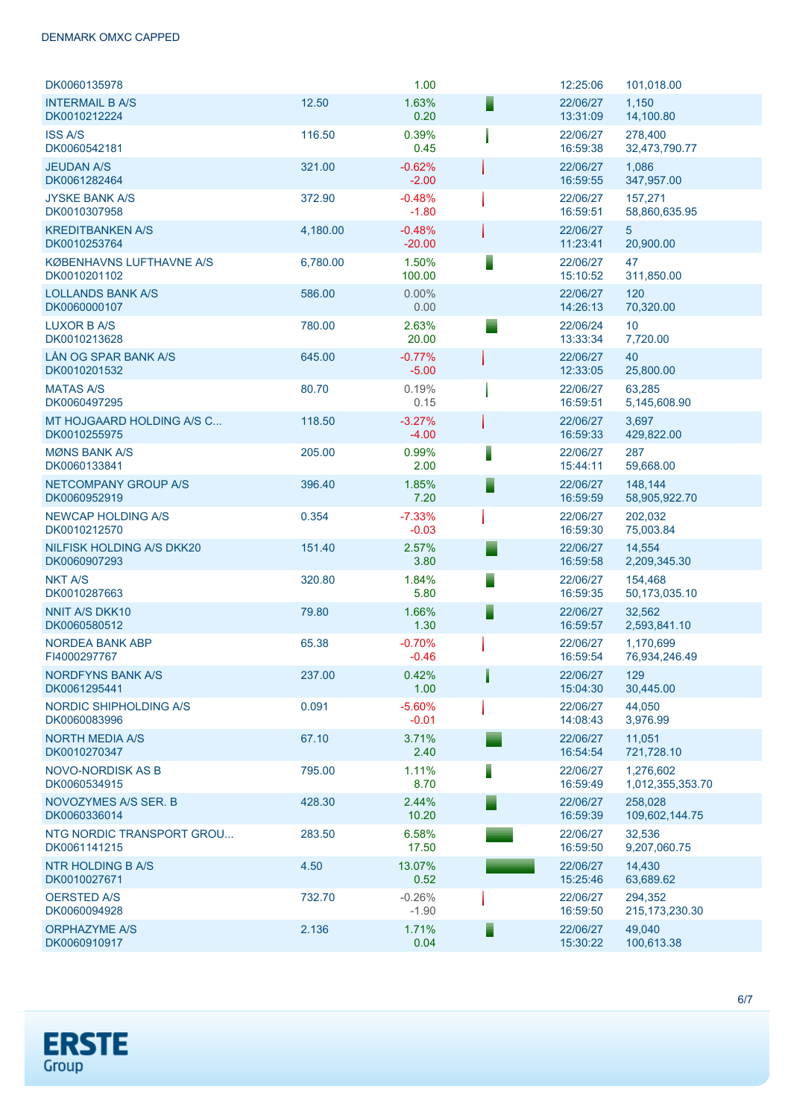| DK0060135978                                    |          | 1.00                 |   | 12:25:06             | 101,018.00                    |
|-------------------------------------------------|----------|----------------------|---|----------------------|-------------------------------|
| <b>INTERMAIL B A/S</b><br>DK0010212224          | 12.50    | 1.63%<br>0.20        |   | 22/06/27<br>13:31:09 | 1,150<br>14,100.80            |
| <b>ISS A/S</b><br>DK0060542181                  | 116.50   | 0.39%<br>0.45        |   | 22/06/27<br>16:59:38 | 278,400<br>32,473,790.77      |
| <b>JEUDAN A/S</b><br>DK0061282464               | 321.00   | $-0.62%$<br>$-2.00$  |   | 22/06/27<br>16:59:55 | 1,086<br>347,957.00           |
| <b>JYSKE BANK A/S</b><br>DK0010307958           | 372.90   | $-0.48%$<br>$-1.80$  |   | 22/06/27<br>16:59:51 | 157,271<br>58,860,635.95      |
| <b>KREDITBANKEN A/S</b><br>DK0010253764         | 4,180.00 | $-0.48%$<br>$-20.00$ |   | 22/06/27<br>11:23:41 | 5<br>20,900.00                |
| <b>KØBENHAVNS LUFTHAVNE A/S</b><br>DK0010201102 | 6,780.00 | 1.50%<br>100.00      |   | 22/06/27<br>15:10:52 | 47<br>311,850.00              |
| <b>LOLLANDS BANK A/S</b><br>DK0060000107        | 586.00   | 0.00%<br>0.00        |   | 22/06/27<br>14:26:13 | 120<br>70,320.00              |
| <b>LUXOR B A/S</b><br>DK0010213628              | 780.00   | 2.63%<br>20.00       |   | 22/06/24<br>13:33:34 | 10<br>7,720.00                |
| LÅN OG SPAR BANK A/S<br>DK0010201532            | 645.00   | $-0.77%$<br>$-5.00$  |   | 22/06/27<br>12:33:05 | 40<br>25,800.00               |
| <b>MATAS A/S</b><br>DK0060497295                | 80.70    | 0.19%<br>0.15        |   | 22/06/27<br>16:59:51 | 63,285<br>5,145,608.90        |
| MT HOJGAARD HOLDING A/S C<br>DK0010255975       | 118.50   | $-3.27%$<br>$-4.00$  |   | 22/06/27<br>16:59:33 | 3,697<br>429,822.00           |
| <b>MØNS BANK A/S</b><br>DK0060133841            | 205.00   | 0.99%<br>2.00        | I | 22/06/27<br>15:44:11 | 287<br>59,668.00              |
| NETCOMPANY GROUP A/S<br>DK0060952919            | 396.40   | 1.85%<br>7.20        |   | 22/06/27<br>16:59:59 | 148,144<br>58,905,922.70      |
| <b>NEWCAP HOLDING A/S</b><br>DK0010212570       | 0.354    | $-7.33%$<br>$-0.03$  |   | 22/06/27<br>16:59:30 | 202,032<br>75,003.84          |
| NILFISK HOLDING A/S DKK20<br>DK0060907293       | 151.40   | 2.57%<br>3.80        |   | 22/06/27<br>16:59:58 | 14,554<br>2,209,345.30        |
| <b>NKT A/S</b><br>DK0010287663                  | 320.80   | 1.84%<br>5.80        |   | 22/06/27<br>16:59:35 | 154,468<br>50,173,035.10      |
| <b>NNIT A/S DKK10</b><br>DK0060580512           | 79.80    | 1.66%<br>1.30        |   | 22/06/27<br>16:59:57 | 32,562<br>2,593,841.10        |
| <b>NORDEA BANK ABP</b><br>FI4000297767          | 65.38    | $-0.70%$<br>$-0.46$  |   | 22/06/27<br>16:59:54 | 1,170,699<br>76,934,246.49    |
| <b>NORDFYNS BANK A/S</b><br>DK0061295441        | 237.00   | 0.42%<br>1.00        |   | 22/06/27<br>15:04:30 | 129<br>30,445.00              |
| NORDIC SHIPHOLDING A/S<br>DK0060083996          | 0.091    | $-5.60%$<br>$-0.01$  |   | 22/06/27<br>14:08:43 | 44,050<br>3,976.99            |
| <b>NORTH MEDIA A/S</b><br>DK0010270347          | 67.10    | 3.71%<br>2.40        |   | 22/06/27<br>16:54:54 | 11,051<br>721,728.10          |
| <b>NOVO-NORDISK AS B</b><br>DK0060534915        | 795.00   | 1.11%<br>8.70        | I | 22/06/27<br>16:59:49 | 1.276.602<br>1,012,355,353.70 |
| NOVOZYMES A/S SER. B<br>DK0060336014            | 428.30   | 2.44%<br>10.20       |   | 22/06/27<br>16:59:39 | 258,028<br>109,602,144.75     |
| NTG NORDIC TRANSPORT GROU<br>DK0061141215       | 283.50   | 6.58%<br>17.50       |   | 22/06/27<br>16:59:50 | 32,536<br>9,207,060.75        |
| NTR HOLDING B A/S<br>DK0010027671               | 4.50     | 13.07%<br>0.52       |   | 22/06/27<br>15:25:46 | 14,430<br>63,689.62           |
| <b>OERSTED A/S</b><br>DK0060094928              | 732.70   | $-0.26%$<br>$-1.90$  |   | 22/06/27<br>16:59:50 | 294,352<br>215, 173, 230. 30  |
| <b>ORPHAZYME A/S</b><br>DK0060910917            | 2.136    | 1.71%<br>0.04        | Ξ | 22/06/27<br>15:30:22 | 49,040<br>100,613.38          |